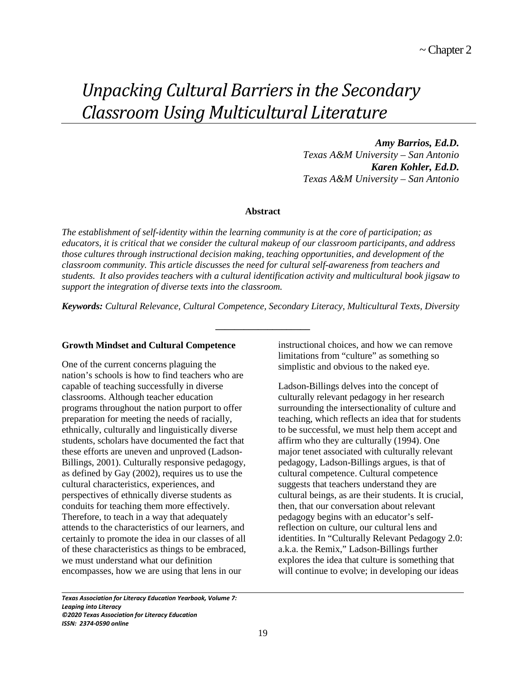# *Unpacking Cultural Barriers in the Secondary Classroom Using Multicultural Literature*

*Amy Barrios, Ed.D. Texas A&M University – San Antonio Karen Kohler, Ed.D. Texas A&M University – San Antonio*

#### **Abstract**

*The establishment of self-identity within the learning community is at the core of participation; as educators, it is critical that we consider the cultural makeup of our classroom participants, and address those cultures through instructional decision making, teaching opportunities, and development of the classroom community. This article discusses the need for cultural self-awareness from teachers and students. It also provides teachers with a cultural identification activity and multicultural book jigsaw to support the integration of diverse texts into the classroom.*

*Keywords: Cultural Relevance, Cultural Competence, Secondary Literacy, Multicultural Texts, Diversity*

**\_\_\_\_\_\_\_\_\_\_\_\_\_\_\_\_\_\_\_\_**

### **Growth Mindset and Cultural Competence**

One of the current concerns plaguing the nation's schools is how to find teachers who are capable of teaching successfully in diverse classrooms. Although teacher education programs throughout the nation purport to offer preparation for meeting the needs of racially, ethnically, culturally and linguistically diverse students, scholars have documented the fact that these efforts are uneven and unproved (Ladson-Billings, 2001). Culturally responsive pedagogy, as defined by Gay (2002), requires us to use the cultural characteristics, experiences, and perspectives of ethnically diverse students as conduits for teaching them more effectively. Therefore, to teach in a way that adequately attends to the characteristics of our learners, and certainly to promote the idea in our classes of all of these characteristics as things to be embraced, we must understand what our definition encompasses, how we are using that lens in our

instructional choices, and how we can remove limitations from "culture" as something so simplistic and obvious to the naked eye.

Ladson-Billings delves into the concept of culturally relevant pedagogy in her research surrounding the intersectionality of culture and teaching, which reflects an idea that for students to be successful, we must help them accept and affirm who they are culturally (1994). One major tenet associated with culturally relevant pedagogy, Ladson-Billings argues, is that of cultural competence. Cultural competence suggests that teachers understand they are cultural beings, as are their students. It is crucial, then, that our conversation about relevant pedagogy begins with an educator's selfreflection on culture, our cultural lens and identities. In "Culturally Relevant Pedagogy 2.0: a.k.a. the Remix," Ladson-Billings further explores the idea that culture is something that will continue to evolve; in developing our ideas

*Texas Association for Literacy Education Yearbook, Volume 7: Leaping into Literacy ©2020 Texas Association for Literacy Education ISSN: 2374-0590 online*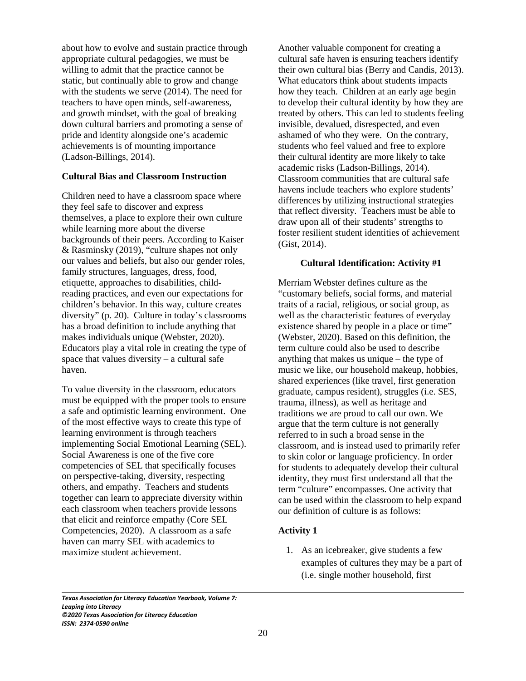about how to evolve and sustain practice through appropriate cultural pedagogies, we must be willing to admit that the practice cannot be static, but continually able to grow and change with the students we serve (2014). The need for teachers to have open minds, self-awareness, and growth mindset, with the goal of breaking down cultural barriers and promoting a sense of pride and identity alongside one's academic achievements is of mounting importance (Ladson-Billings, 2014).

### **Cultural Bias and Classroom Instruction**

Children need to have a classroom space where they feel safe to discover and express themselves, a place to explore their own culture while learning more about the diverse backgrounds of their peers. According to Kaiser & Rasminsky (2019), "culture shapes not only our values and beliefs, but also our gender roles, family structures, languages, dress, food, etiquette, approaches to disabilities, childreading practices, and even our expectations for children's behavior. In this way, culture creates diversity" (p. 20). Culture in today's classrooms has a broad definition to include anything that makes individuals unique (Webster, 2020). Educators play a vital role in creating the type of space that values diversity – a cultural safe haven.

To value diversity in the classroom, educators must be equipped with the proper tools to ensure a safe and optimistic learning environment. One of the most effective ways to create this type of learning environment is through teachers implementing Social Emotional Learning (SEL). Social Awareness is one of the five core competencies of SEL that specifically focuses on perspective-taking, diversity, respecting others, and empathy. Teachers and students together can learn to appreciate diversity within each classroom when teachers provide lessons that elicit and reinforce empathy (Core SEL Competencies, 2020). A classroom as a safe haven can marry SEL with academics to maximize student achievement.

Another valuable component for creating a cultural safe haven is ensuring teachers identify their own cultural bias (Berry and Candis, 2013). What educators think about students impacts how they teach. Children at an early age begin to develop their cultural identity by how they are treated by others. This can led to students feeling invisible, devalued, disrespected, and even ashamed of who they were. On the contrary, students who feel valued and free to explore their cultural identity are more likely to take academic risks (Ladson-Billings, 2014). Classroom communities that are cultural safe havens include teachers who explore students' differences by utilizing instructional strategies that reflect diversity. Teachers must be able to draw upon all of their students' strengths to foster resilient student identities of achievement (Gist, 2014).

#### **Cultural Identification: Activity #1**

Merriam Webster defines culture as the "customary beliefs, social forms, and material traits of a racial, religious, or social group, as well as the characteristic features of everyday existence shared by people in a place or time" (Webster, 2020). Based on this definition, the term culture could also be used to describe anything that makes us unique – the type of music we like, our household makeup, hobbies, shared experiences (like travel, first generation graduate, campus resident), struggles (i.e. SES, trauma, illness), as well as heritage and traditions we are proud to call our own. We argue that the term culture is not generally referred to in such a broad sense in the classroom, and is instead used to primarily refer to skin color or language proficiency. In order for students to adequately develop their cultural identity, they must first understand all that the term "culture" encompasses. One activity that can be used within the classroom to help expand our definition of culture is as follows:

#### **Activity 1**

1. As an icebreaker, give students a few examples of cultures they may be a part of (i.e. single mother household, first

*Texas Association for Literacy Education Yearbook, Volume 7: Leaping into Literacy ©2020 Texas Association for Literacy Education ISSN: 2374-0590 online*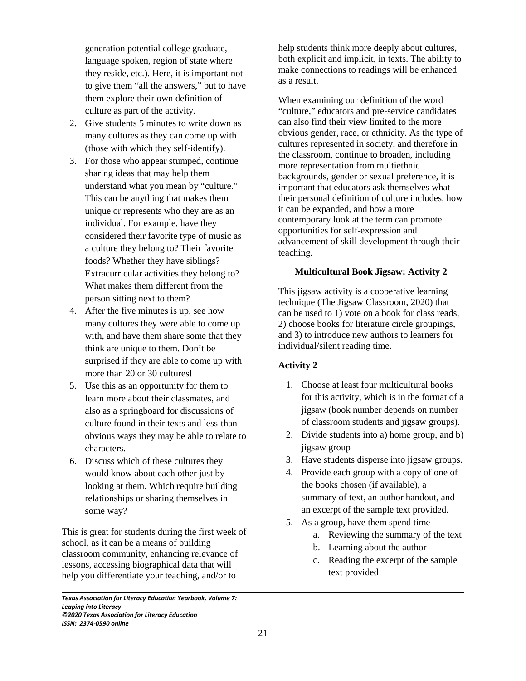generation potential college graduate, language spoken, region of state where they reside, etc.). Here, it is important not to give them "all the answers," but to have them explore their own definition of culture as part of the activity.

- 2. Give students 5 minutes to write down as many cultures as they can come up with (those with which they self-identify).
- 3. For those who appear stumped, continue sharing ideas that may help them understand what you mean by "culture." This can be anything that makes them unique or represents who they are as an individual. For example, have they considered their favorite type of music as a culture they belong to? Their favorite foods? Whether they have siblings? Extracurricular activities they belong to? What makes them different from the person sitting next to them?
- 4. After the five minutes is up, see how many cultures they were able to come up with, and have them share some that they think are unique to them. Don't be surprised if they are able to come up with more than 20 or 30 cultures!
- 5. Use this as an opportunity for them to learn more about their classmates, and also as a springboard for discussions of culture found in their texts and less-thanobvious ways they may be able to relate to characters.
- 6. Discuss which of these cultures they would know about each other just by looking at them. Which require building relationships or sharing themselves in some way?

This is great for students during the first week of school, as it can be a means of building classroom community, enhancing relevance of lessons, accessing biographical data that will help you differentiate your teaching, and/or to

*Texas Association for Literacy Education Yearbook, Volume 7: Leaping into Literacy ©2020 Texas Association for Literacy Education ISSN: 2374-0590 online*

 $\overline{\phantom{0}}$ 

help students think more deeply about cultures, both explicit and implicit, in texts. The ability to make connections to readings will be enhanced as a result.

When examining our definition of the word "culture," educators and pre-service candidates can also find their view limited to the more obvious gender, race, or ethnicity. As the type of cultures represented in society, and therefore in the classroom, continue to broaden, including more representation from multiethnic backgrounds, gender or sexual preference, it is important that educators ask themselves what their personal definition of culture includes, how it can be expanded, and how a more contemporary look at the term can promote opportunities for self-expression and advancement of skill development through their teaching.

## **Multicultural Book Jigsaw: Activity 2**

This jigsaw activity is a cooperative learning technique (The Jigsaw Classroom, 2020) that can be used to 1) vote on a book for class reads, 2) choose books for literature circle groupings, and 3) to introduce new authors to learners for individual/silent reading time.

## **Activity 2**

- 1. Choose at least four multicultural books for this activity, which is in the format of a jigsaw (book number depends on number of classroom students and jigsaw groups).
- 2. Divide students into a) home group, and b) jigsaw group
- 3. Have students disperse into jigsaw groups.
- 4. Provide each group with a copy of one of the books chosen (if available), a summary of text, an author handout, and an excerpt of the sample text provided.
- 5. As a group, have them spend time
	- a. Reviewing the summary of the text
	- b. Learning about the author
	- c. Reading the excerpt of the sample text provided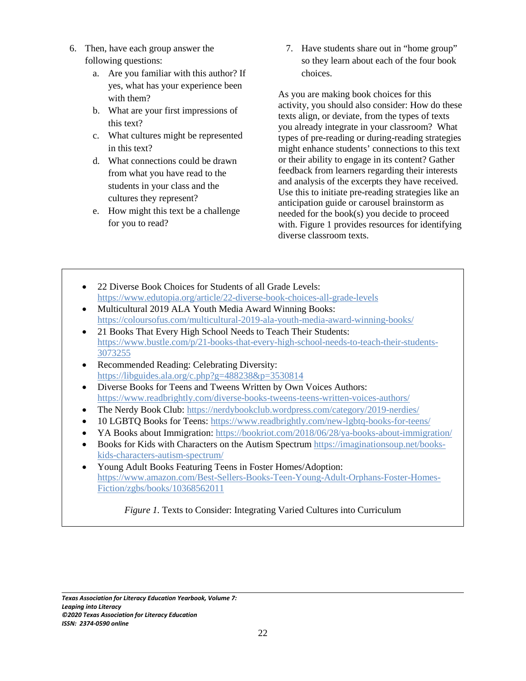- 6. Then, have each group answer the following questions:
	- a. Are you familiar with this author? If yes, what has your experience been with them?
	- b. What are your first impressions of this text?
	- c. What cultures might be represented in this text?
	- d. What connections could be drawn from what you have read to the students in your class and the cultures they represent?
	- e. How might this text be a challenge for you to read?

7. Have students share out in "home group" so they learn about each of the four book choices.

As you are making book choices for this activity, you should also consider: How do these texts align, or deviate, from the types of texts you already integrate in your classroom? What types of pre-reading or during-reading strategies might enhance students' connections to this text or their ability to engage in its content? Gather feedback from learners regarding their interests and analysis of the excerpts they have received. Use this to initiate pre-reading strategies like an anticipation guide or carousel brainstorm as needed for the book(s) you decide to proceed with. Figure 1 provides resources for identifying diverse classroom texts.

- 22 Diverse Book Choices for Students of all Grade Levels: https://www.edutopia.org/article/22-diverse-book-choices-all-grade-levels
- Multicultural 2019 ALA Youth Media Award Winning Books: https://coloursofus.com/multicultural-2019-ala-youth-media-award-winning-books/
- 21 Books That Every High School Needs to Teach Their Students: https://www.bustle.com/p/21-books-that-every-high-school-needs-to-teach-their-students-3073255
- Recommended Reading: Celebrating Diversity: https://libguides.ala.org/c.php?g=488238&p=3530814
- Diverse Books for Teens and Tweens Written by Own Voices Authors: https://www.readbrightly.com/diverse-books-tweens-teens-written-voices-authors/
- The Nerdy Book Club: https://nerdybookclub.wordpress.com/category/2019-nerdies/
- 10 LGBTQ Books for Teens: https://www.readbrightly.com/new-lgbtq-books-for-teens/
- YA Books about Immigration: https://bookriot.com/2018/06/28/ya-books-about-immigration/
- Books for Kids with Characters on the Autism Spectrum https://imaginationsoup.net/bookskids-characters-autism-spectrum/
- Young Adult Books Featuring Teens in Foster Homes/Adoption: https://www.amazon.com/Best-Sellers-Books-Teen-Young-Adult-Orphans-Foster-Homes-Fiction/zgbs/books/10368562011

*Figure 1.* Texts to Consider: Integrating Varied Cultures into Curriculum